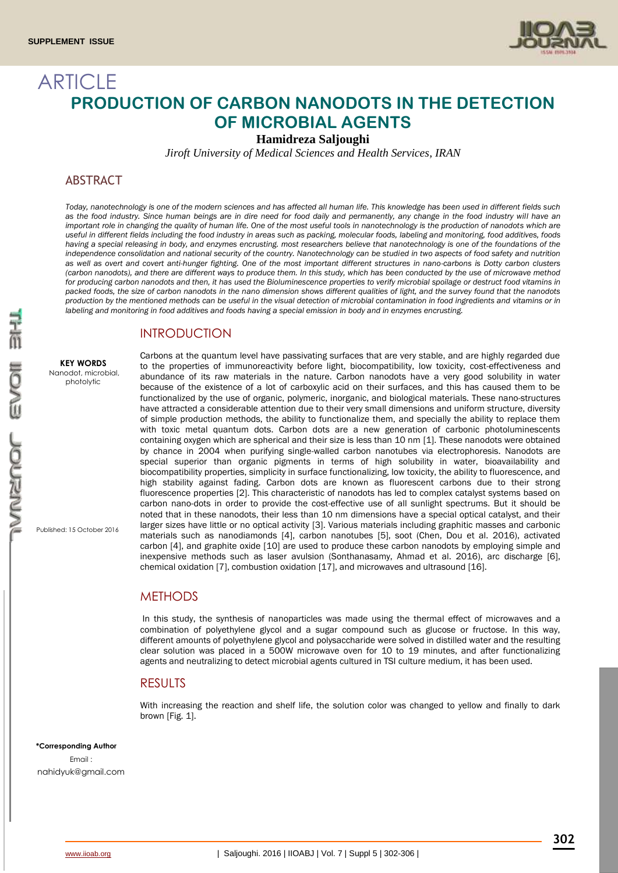

# **ARTICLE PRODUCTION OF CARBON NANODOTS IN THE DETECTION OF MICROBIAL AGENTS**

**Hamidreza Saljoughi** 

*Jiroft University of Medical Sciences and Health Services, IRAN*

## **ABSTRACT**

*Today, nanotechnology is one of the modern sciences and has affected all human life. This knowledge has been used in different fields such as the food industry. Since human beings are in dire need for food daily and permanently, any change in the food industry will have an important role in changing the quality of human life. One of the most useful tools in nanotechnology is the production of nanodots which are useful in different fields including the food industry in areas such as packing, molecular foods, labeling and monitoring, food additives, foods*  having a special releasing in body, and enzymes encrusting. most researchers believe that nanotechnology is one of the foundations of the *independence consolidation and national security of the country. Nanotechnology can be studied in two aspects of food safety and nutrition as well as overt and covert anti-hunger fighting. One of the most important different structures in nano-carbons is Dotty carbon clusters (carbon nanodots), and there are different ways to produce them. In this study, which has been conducted by the use of microwave method for producing carbon nanodots and then, it has used the Bioluminescence properties to verify microbial spoilage or destruct food vitamins in packed foods, the size of carbon nanodots in the nano dimension shows different qualities of light, and the survey found that the nanodots production by the mentioned methods can be useful in the visual detection of microbial contamination in food ingredients and vitamins or in labeling and monitoring in food additives and foods having a special emission in body and in enzymes encrusting.*

# **INTRODUCTION**

**KEY WORDS** Nanodot, microbial,

photolytic

Published: 15 October 2016

Carbons at the quantum level have passivating surfaces that are very stable, and are highly regarded due to the properties of immunoreactivity before light, biocompatibility, low toxicity, cost-effectiveness and abundance of its raw materials in the nature. Carbon nanodots have a very good solubility in water because of the existence of a lot of carboxylic acid on their surfaces, and this has caused them to be functionalized by the use of organic, polymeric, inorganic, and biological materials. These nano-structures have attracted a considerable attention due to their very small dimensions and uniform structure, diversity of simple production methods, the ability to functionalize them, and specially the ability to replace them with toxic metal quantum dots. Carbon dots are a new generation of carbonic photoluminescents containing oxygen which are spherical and their size is less than 10 nm [1]. These nanodots were obtained by chance in 2004 when purifying single-walled carbon nanotubes via electrophoresis. Nanodots are special superior than organic pigments in terms of high solubility in water, bioavailability and biocompatibility properties, simplicity in surface functionalizing, low toxicity, the ability to fluorescence, and high stability against fading. Carbon dots are known as fluorescent carbons due to their strong fluorescence properties [2]. This characteristic of nanodots has led to complex catalyst systems based on carbon nano-dots in order to provide the cost-effective use of all sunlight spectrums. But it should be noted that in these nanodots, their less than 10 nm dimensions have a special optical catalyst, and their larger sizes have little or no optical activity [3]. Various materials including graphitic masses and carbonic materials such as nanodiamonds [4], carbon nanotubes [5], soot (Chen, Dou et al. 2016), activated carbon [4], and graphite oxide [10] are used to produce these carbon nanodots by employing simple and inexpensive methods such as laser avulsion (Sonthanasamy, Ahmad et al. 2016), arc discharge [6], chemical oxidation [7], combustion oxidation [17], and microwaves and ultrasound [16].

# **METHODS**

In this study, the synthesis of nanoparticles was made using the thermal effect of microwaves and a combination of polyethylene glycol and a sugar compound such as glucose or fructose. In this way, different amounts of polyethylene glycol and polysaccharide were solved in distilled water and the resulting clear solution was placed in a 500W microwave oven for 10 to 19 minutes, and after functionalizing agents and neutralizing to detect microbial agents cultured in TSI culture medium, it has been used.

#### RESULTS

With increasing the reaction and shelf life, the solution color was changed to yellow and finally to dark brown [Fig. 1].

**\*Corresponding Author**

Email : [nahidyuk@gmail.com](mailto:nahidyuk@gmail.com)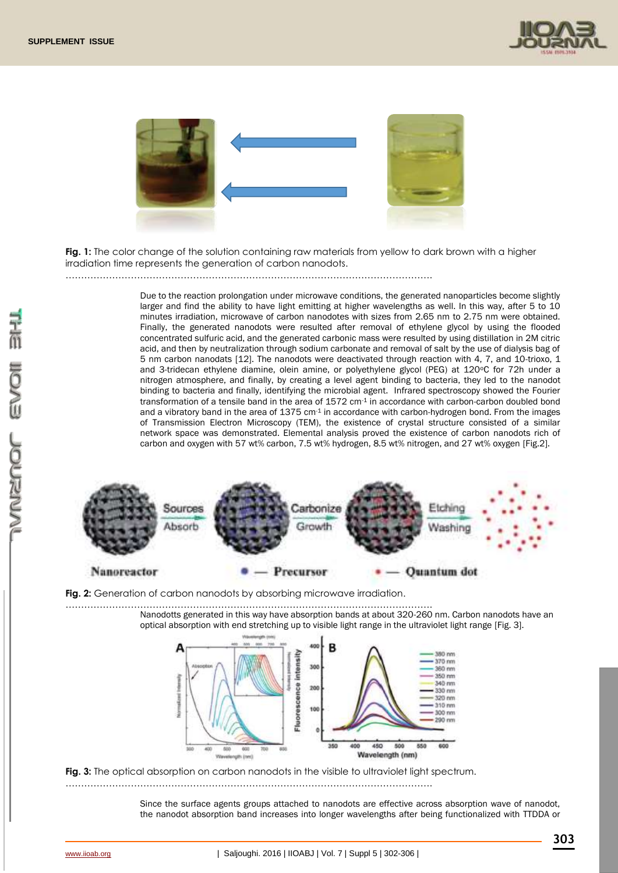



**Fig. 1:** The color change of the solution containing raw materials from yellow to dark brown with a higher irradiation time represents the generation of carbon nanodots.

……………………………………………………………………………………………………….

Due to the reaction prolongation under microwave conditions, the generated nanoparticles become slightly larger and find the ability to have light emitting at higher wavelengths as well. In this way, after 5 to 10 minutes irradiation, microwave of carbon nanodotes with sizes from 2.65 nm to 2.75 nm were obtained. Finally, the generated nanodots were resulted after removal of ethylene glycol by using the flooded concentrated sulfuric acid, and the generated carbonic mass were resulted by using distillation in 2M citric acid, and then by neutralization through sodium carbonate and removal of salt by the use of dialysis bag of 5 nm carbon nanodats [12]. The nanodots were deactivated through reaction with 4, 7, and 10-trioxo, 1 and 3-tridecan ethylene diamine, olein amine, or polyethylene glycol (PEG) at 120°C for 72h under a nitrogen atmosphere, and finally, by creating a level agent binding to bacteria, they led to the nanodot binding to bacteria and finally, identifying the microbial agent. Infrared spectroscopy showed the Fourier transformation of a tensile band in the area of 1572 cm-1 in accordance with carbon-carbon doubled bond and a vibratory band in the area of 1375 cm-1 in accordance with carbon-hydrogen bond. From the images of Transmission Electron Microscopy (TEM), the existence of crystal structure consisted of a similar network space was demonstrated. Elemental analysis proved the existence of carbon nanodots rich of carbon and oxygen with 57 wt% carbon, 7.5 wt% hydrogen, 8.5 wt% nitrogen, and 27 wt% oxygen [Fig.2].



**Fig. 2:** Generation of carbon nanodots by absorbing microwave irradiation.

………………………………………………………………………………………………………. Nanodotts generated in this way have absorption bands at about 320-260 nm. Carbon nanodots have an optical absorption with end stretching up to visible light range in the ultraviolet light range [Fig. 3].



**Fig. 3:** The optical absorption on carbon nanodots in the visible to ultraviolet light spectrum.

……………………………………………………………………………………………………….

Since the surface agents groups attached to nanodots are effective across absorption wave of nanodot, the nanodot absorption band increases into longer wavelengths after being functionalized with TTDDA or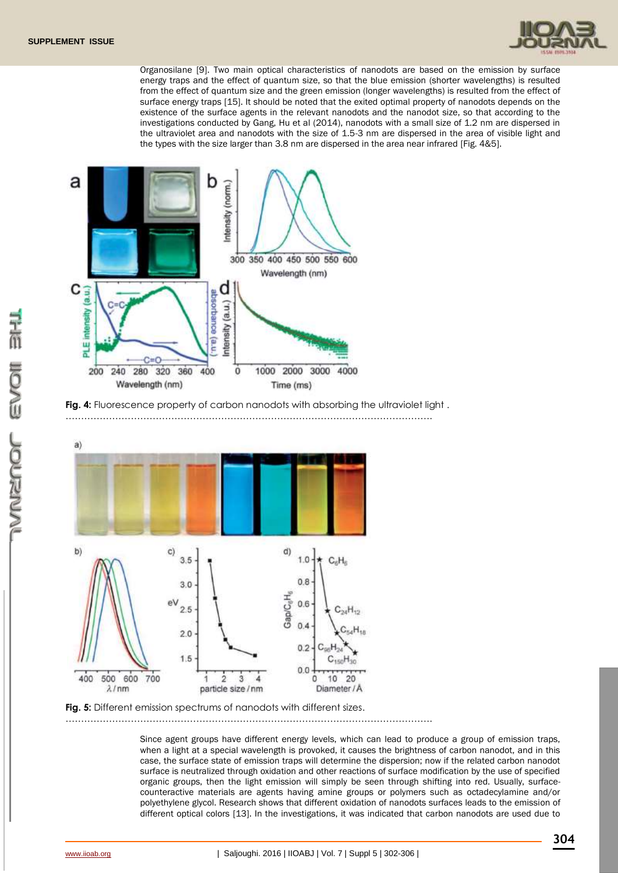

Organosilane [9]. Two main optical characteristics of nanodots are based on the emission by surface energy traps and the effect of quantum size, so that the blue emission (shorter wavelengths) is resulted from the effect of quantum size and the green emission (longer wavelengths) is resulted from the effect of surface energy traps [15]. It should be noted that the exited optimal property of nanodots depends on the existence of the surface agents in the relevant nanodots and the nanodot size, so that according to the investigations conducted by Gang, Hu et al (2014), nanodots with a small size of 1.2 nm are dispersed in the ultraviolet area and nanodots with the size of 1.5-3 nm are dispersed in the area of visible light and the types with the size larger than 3.8 nm are dispersed in the area near infrared [Fig. 4&5].





……………………………………………………………………………………………………….



**Fig. 5:** Different emission spectrums of nanodots with different sizes.

……………………………………………………………………………………………………….

Since agent groups have different energy levels, which can lead to produce a group of emission traps, when a light at a special wavelength is provoked, it causes the brightness of carbon nanodot, and in this case, the surface state of emission traps will determine the dispersion; now if the related carbon nanodot surface is neutralized through oxidation and other reactions of surface modification by the use of specified organic groups, then the light emission will simply be seen through shifting into red. Usually, surfacecounteractive materials are agents having amine groups or polymers such as octadecylamine and/or polyethylene glycol. Research shows that different oxidation of nanodots surfaces leads to the emission of different optical colors [13]. In the investigations, it was indicated that carbon nanodots are used due to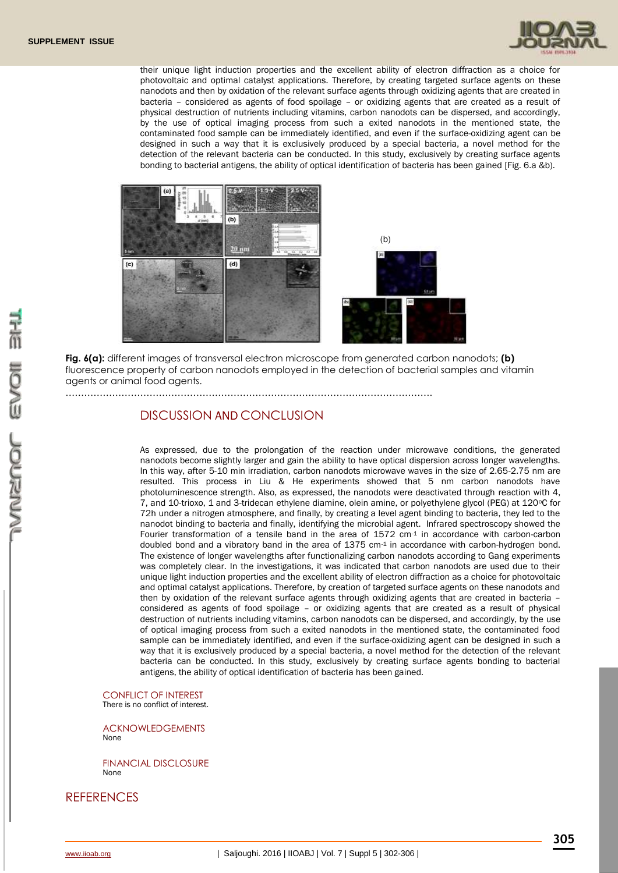

their unique light induction properties and the excellent ability of electron diffraction as a choice for photovoltaic and optimal catalyst applications. Therefore, by creating targeted surface agents on these nanodots and then by oxidation of the relevant surface agents through oxidizing agents that are created in bacteria – considered as agents of food spoilage – or oxidizing agents that are created as a result of physical destruction of nutrients including vitamins, carbon nanodots can be dispersed, and accordingly, by the use of optical imaging process from such a exited nanodots in the mentioned state, the contaminated food sample can be immediately identified, and even if the surface-oxidizing agent can be designed in such a way that it is exclusively produced by a special bacteria, a novel method for the detection of the relevant bacteria can be conducted. In this study, exclusively by creating surface agents bonding to bacterial antigens, the ability of optical identification of bacteria has been gained [Fig. 6.a &b).



**Fig. 6(a):** different images of transversal electron microscope from generated carbon nanodots; **(b)**  fluorescence property of carbon nanodots employed in the detection of bacterial samples and vitamin agents or animal food agents.

……………………………………………………………………………………………………….

### DISCUSSION AND CONCLUSION

As expressed, due to the prolongation of the reaction under microwave conditions, the generated nanodots become slightly larger and gain the ability to have optical dispersion across longer wavelengths. In this way, after 5-10 min irradiation, carbon nanodots microwave waves in the size of 2.65-2.75 nm are resulted. This process in Liu & He experiments showed that 5 nm carbon nanodots have photoluminescence strength. Also, as expressed, the nanodots were deactivated through reaction with 4, 7, and 10-trioxo, 1 and 3-tridecan ethylene diamine, olein amine, or polyethylene glycol (PEG) at 120°C for 72h under a nitrogen atmosphere, and finally, by creating a level agent binding to bacteria, they led to the nanodot binding to bacteria and finally, identifying the microbial agent. Infrared spectroscopy showed the Fourier transformation of a tensile band in the area of  $1572 \text{ cm}^{-1}$  in accordance with carbon-carbon doubled bond and a vibratory band in the area of 1375 cm-1 in accordance with carbon-hydrogen bond. The existence of longer wavelengths after functionalizing carbon nanodots according to Gang experiments was completely clear. In the investigations, it was indicated that carbon nanodots are used due to their unique light induction properties and the excellent ability of electron diffraction as a choice for photovoltaic and optimal catalyst applications. Therefore, by creation of targeted surface agents on these nanodots and then by oxidation of the relevant surface agents through oxidizing agents that are created in bacteria – considered as agents of food spoilage – or oxidizing agents that are created as a result of physical destruction of nutrients including vitamins, carbon nanodots can be dispersed, and accordingly, by the use of optical imaging process from such a exited nanodots in the mentioned state, the contaminated food sample can be immediately identified, and even if the surface-oxidizing agent can be designed in such a way that it is exclusively produced by a special bacteria, a novel method for the detection of the relevant bacteria can be conducted. In this study, exclusively by creating surface agents bonding to bacterial antigens, the ability of optical identification of bacteria has been gained.

CONFLICT OF INTEREST There is no conflict of interest.

ACKNOWLEDGEMENTS None

FINANCIAL DISCLOSURE None

### **REFERENCES**